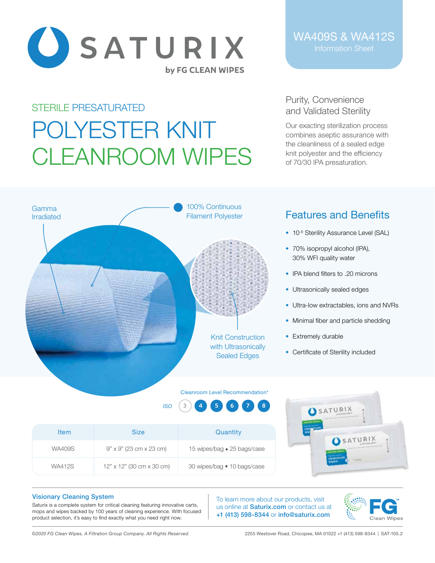

# STERILE PRESATURATED POLYESTER KNIT CLEANROOM WIPES

# WA409S & WA412S

## Purity, Convenience and Validated Sterility

Our exacting sterilization process combines aseptic assurance with the cleanliness of a sealed edge knit polyester and the efficiency of 70/30 IPA presaturation.



# Features and Benefits

- 10<sup>-6</sup> Sterility Assurance Level (SAL)
- 70% isopropyl alcohol (IPA), 30% WFI quality water
- IPA blend filters to .20 microns
- Ultrasonically sealed edges
- Ultra-low extractables, ions and NVRs
- Minimal fiber and particle shedding
- Extremely durable
- Certificate of Sterility included

ACATURIX 4

#### Cleanroom Level Recommendation<sup>\*</sup>

*ISO* **3 4 5 6 7 8**

| <b>Item</b>   | <b>Size</b>                      | Quantity                    | <b>USATUR</b> |
|---------------|----------------------------------|-----------------------------|---------------|
| <b>WA409S</b> | $9" \times 9"$ (23 cm x 23 cm)   | 15 wipes/bag • 25 bags/case |               |
| <b>WA412S</b> | $12" \times 12"$ (30 cm x 30 cm) | 30 wipes/bag • 10 bags/case |               |

#### Visionary Cleaning System

Saturix is a complete system for critical cleaning featuring innovative carts, mops and wipes backed by 100 years of cleaning experience. With focused product selection, it's easy to find exactly what you need right now.

To learn more about our products, visit us online at **Saturix.com** or contact us at +1 (413) 598-8344 or info@saturix.com



*©2020 FG Clean Wipes. A Filtration Group Company. All Rights Reserved.* 2255 Westover Road, Chicopee, MA 01022 +1 (413) 598-8344 | SAT-105.2